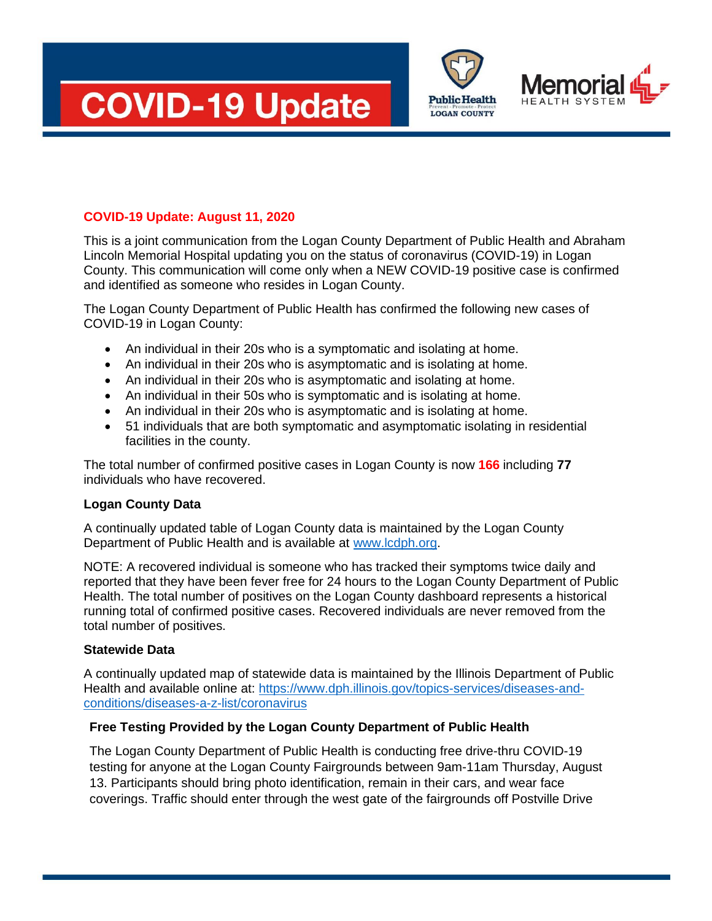





# **COVID-19 Update: August 11, 2020**

This is a joint communication from the Logan County Department of Public Health and Abraham Lincoln Memorial Hospital updating you on the status of coronavirus (COVID-19) in Logan County. This communication will come only when a NEW COVID-19 positive case is confirmed and identified as someone who resides in Logan County.

The Logan County Department of Public Health has confirmed the following new cases of COVID-19 in Logan County:

- An individual in their 20s who is a symptomatic and isolating at home.
- An individual in their 20s who is asymptomatic and is isolating at home.
- An individual in their 20s who is asymptomatic and isolating at home.
- An individual in their 50s who is symptomatic and is isolating at home.
- An individual in their 20s who is asymptomatic and is isolating at home.
- 51 individuals that are both symptomatic and asymptomatic isolating in residential facilities in the county.

The total number of confirmed positive cases in Logan County is now **166** including **77** individuals who have recovered.

#### **Logan County Data**

A continually updated table of Logan County data is maintained by the Logan County Department of Public Health and is available at [www.lcdph.org.](http://www.lcdph.org/)

NOTE: A recovered individual is someone who has tracked their symptoms twice daily and reported that they have been fever free for 24 hours to the Logan County Department of Public Health. The total number of positives on the Logan County dashboard represents a historical running total of confirmed positive cases. Recovered individuals are never removed from the total number of positives.

## **Statewide Data**

A continually updated map of statewide data is maintained by the Illinois Department of Public Health and available online at: [https://www.dph.illinois.gov/topics-services/diseases-and](https://www.dph.illinois.gov/topics-services/diseases-and-conditions/diseases-a-z-list/coronavirus)[conditions/diseases-a-z-list/coronavirus](https://www.dph.illinois.gov/topics-services/diseases-and-conditions/diseases-a-z-list/coronavirus)

## **Free Testing Provided by the Logan County Department of Public Health**

The Logan County Department of Public Health is conducting free drive-thru COVID-19 testing for anyone at the Logan County Fairgrounds between 9am-11am Thursday, August 13. Participants should bring photo identification, remain in their cars, and wear face coverings. Traffic should enter through the west gate of the fairgrounds off Postville Drive